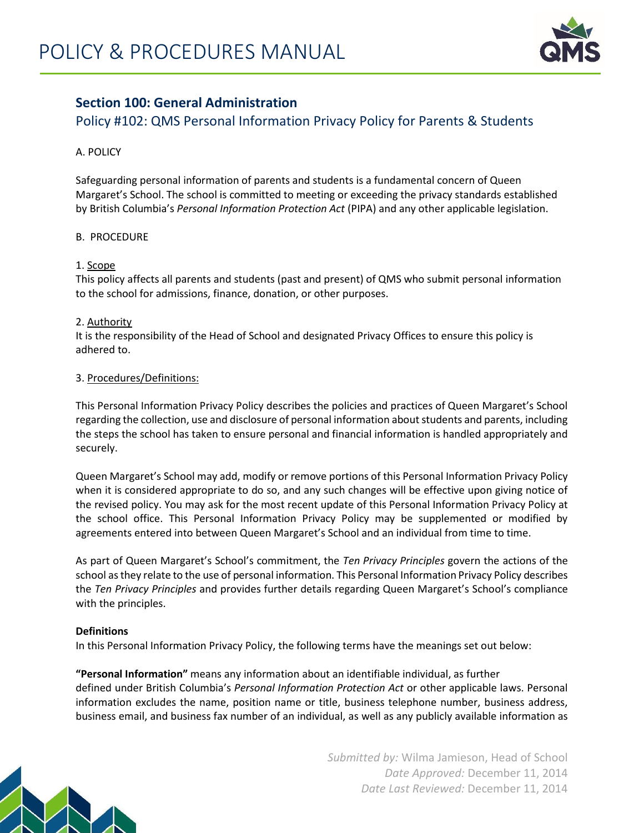

## **Section 100: General Administration**

# Policy #102: QMS Personal Information Privacy Policy for Parents & Students

## A. POLICY

Safeguarding personal information of parents and students is a fundamental concern of Queen Margaret's School. The school is committed to meeting or exceeding the privacy standards established by British Columbia's *Personal Information Protection Act* (PIPA) and any other applicable legislation.

## B. PROCEDURE

## 1. Scope

This policy affects all parents and students (past and present) of QMS who submit personal information to the school for admissions, finance, donation, or other purposes.

## 2. Authority

It is the responsibility of the Head of School and designated Privacy Offices to ensure this policy is adhered to.

## 3. Procedures/Definitions:

This Personal Information Privacy Policy describes the policies and practices of Queen Margaret's School regarding the collection, use and disclosure of personal information about students and parents, including the steps the school has taken to ensure personal and financial information is handled appropriately and securely.

Queen Margaret's School may add, modify or remove portions of this Personal Information Privacy Policy when it is considered appropriate to do so, and any such changes will be effective upon giving notice of the revised policy. You may ask for the most recent update of this Personal Information Privacy Policy at the school office. This Personal Information Privacy Policy may be supplemented or modified by agreements entered into between Queen Margaret's School and an individual from time to time.

As part of Queen Margaret's School's commitment, the *Ten Privacy Principles* govern the actions of the school as they relate to the use of personal information. This Personal Information Privacy Policy describes the *Ten Privacy Principles* and provides further details regarding Queen Margaret's School's compliance with the principles.

## **Definitions**

In this Personal Information Privacy Policy, the following terms have the meanings set out below:

**"Personal Information"** means any information about an identifiable individual, as further defined under British Columbia's *Personal Information Protection Act* or other applicable laws. Personal information excludes the name, position name or title, business telephone number, business address, business email, and business fax number of an individual, as well as any publicly available information as

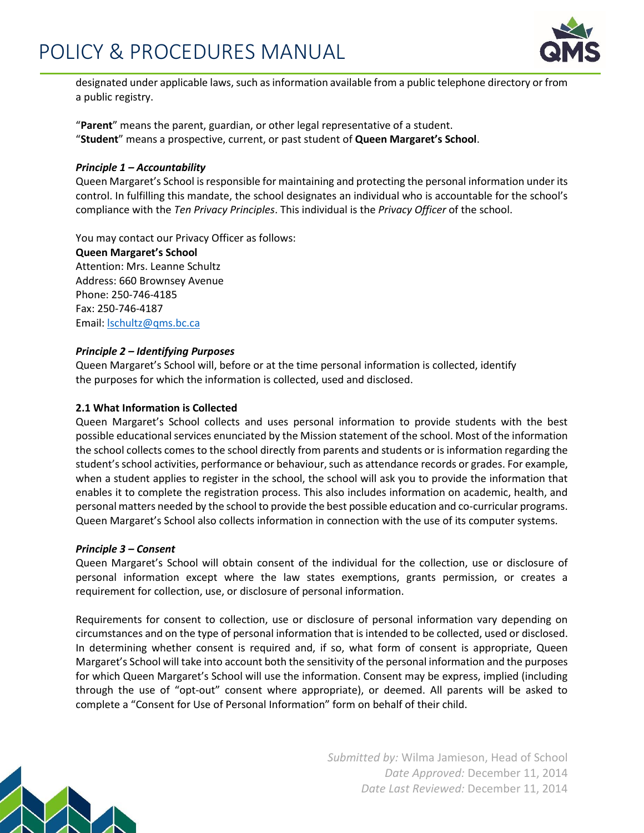

designated under applicable laws, such as information available from a public telephone directory or from a public registry.

"**Parent**" means the parent, guardian, or other legal representative of a student. "**Student**" means a prospective, current, or past student of **Queen Margaret's School**.

## *Principle 1 – Accountability*

Queen Margaret's School is responsible for maintaining and protecting the personal information under its control. In fulfilling this mandate, the school designates an individual who is accountable for the school's compliance with the *Ten Privacy Principles*. This individual is the *Privacy Officer* of the school.

You may contact our Privacy Officer as follows:

**Queen Margaret's School** Attention: Mrs. Leanne Schultz Address: 660 Brownsey Avenue Phone: 250‐746‐4185 Fax: 250‐746‐4187 Email: [lschultz@qms.bc.ca](mailto:lschultz@qms.bc.ca)

## *Principle 2 – Identifying Purposes*

Queen Margaret's School will, before or at the time personal information is collected, identify the purposes for which the information is collected, used and disclosed.

## **2.1 What Information is Collected**

Queen Margaret's School collects and uses personal information to provide students with the best possible educational services enunciated by the Mission statement of the school. Most of the information the school collects comes to the school directly from parents and students or is information regarding the student's school activities, performance or behaviour, such as attendance records or grades. For example, when a student applies to register in the school, the school will ask you to provide the information that enables it to complete the registration process. This also includes information on academic, health, and personal matters needed by the school to provide the best possible education and co‐curricular programs. Queen Margaret's School also collects information in connection with the use of its computer systems.

#### *Principle 3 – Consent*

Queen Margaret's School will obtain consent of the individual for the collection, use or disclosure of personal information except where the law states exemptions, grants permission, or creates a requirement for collection, use, or disclosure of personal information.

Requirements for consent to collection, use or disclosure of personal information vary depending on circumstances and on the type of personal information that is intended to be collected, used or disclosed. In determining whether consent is required and, if so, what form of consent is appropriate, Queen Margaret's School will take into account both the sensitivity of the personal information and the purposes for which Queen Margaret's School will use the information. Consent may be express, implied (including through the use of "opt‐out" consent where appropriate), or deemed. All parents will be asked to complete a "Consent for Use of Personal Information" form on behalf of their child.

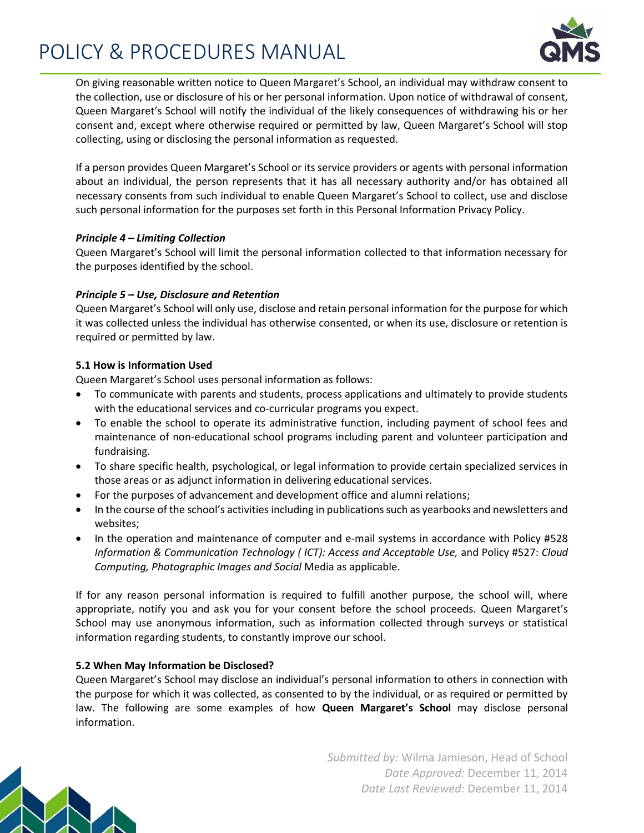# POLICY & PROCEDURES MANUAL



On giving reasonable written notice to Queen Margaret's School, an individual may withdraw consent to the collection, use or disclosure of his or her personal information. Upon notice of withdrawal of consent, Queen Margaret's School will notify the individual of the likely consequences of withdrawing his or her consent and, except where otherwise required or permitted by law, Queen Margaret's School will stop collecting, using or disclosing the personal information as requested.

If a person provides Queen Margaret's School or its service providers or agents with personal information about an individual, the person represents that it has all necessary authority and/or has obtained all necessary consents from such individual to enable Queen Margaret's School to collect, use and disclose such personal information for the purposes set forth in this Personal Information Privacy Policy.

## *Principle 4 – Limiting Collection*

Queen Margaret's School will limit the personal information collected to that information necessary for the purposes identified by the school.

## *Principle 5 – Use, Disclosure and Retention*

Queen Margaret's School will only use, disclose and retain personal information for the purpose for which it was collected unless the individual has otherwise consented, or when its use, disclosure or retention is required or permitted by law.

## **5.1 How is Information Used**

Queen Margaret's School uses personal information as follows:

- To communicate with parents and students, process applications and ultimately to provide students with the educational services and co-curricular programs you expect.
- To enable the school to operate its administrative function, including payment of school fees and maintenance of non‐educational school programs including parent and volunteer participation and fundraising.
- To share specific health, psychological, or legal information to provide certain specialized services in those areas or as adjunct information in delivering educational services.
- For the purposes of advancement and development office and alumni relations;
- In the course of the school's activities including in publications such as yearbooks and newsletters and websites;
- In the operation and maintenance of computer and e-mail systems in accordance with Policy #528 *Information & Communication Technology ( ICT): Access and Acceptable Use,* and Policy #527: *Cloud Computing, Photographic Images and Social* Media as applicable.

If for any reason personal information is required to fulfill another purpose, the school will, where appropriate, notify you and ask you for your consent before the school proceeds. Queen Margaret's School may use anonymous information, such as information collected through surveys or statistical information regarding students, to constantly improve our school.

## **5.2 When May Information be Disclosed?**

Queen Margaret's School may disclose an individual's personal information to others in connection with the purpose for which it was collected, as consented to by the individual, or as required or permitted by law. The following are some examples of how **Queen Margaret's School** may disclose personal information.

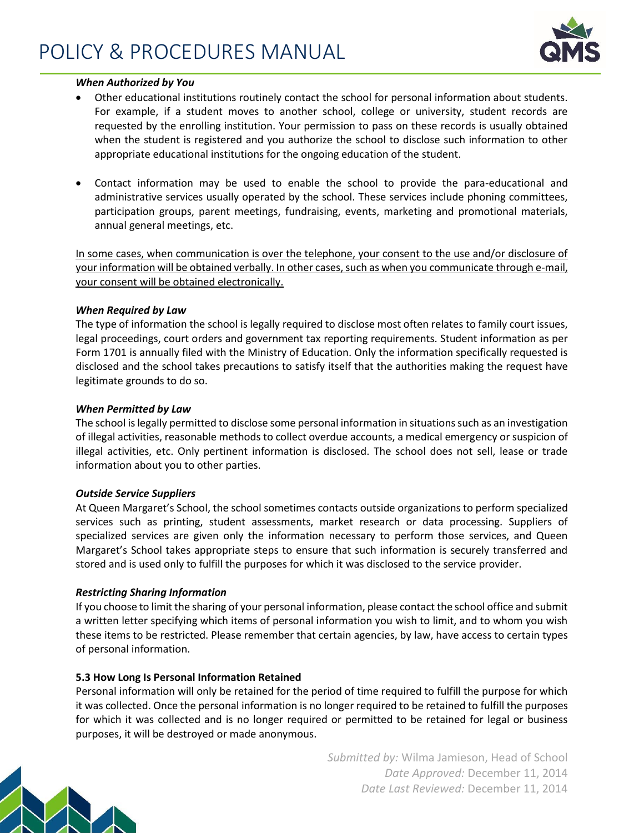

#### *When Authorized by You*

- Other educational institutions routinely contact the school for personal information about students. For example, if a student moves to another school, college or university, student records are requested by the enrolling institution. Your permission to pass on these records is usually obtained when the student is registered and you authorize the school to disclose such information to other appropriate educational institutions for the ongoing education of the student.
- Contact information may be used to enable the school to provide the para-educational and administrative services usually operated by the school. These services include phoning committees, participation groups, parent meetings, fundraising, events, marketing and promotional materials, annual general meetings, etc.

In some cases, when communication is over the telephone, your consent to the use and/or disclosure of your information will be obtained verbally. In other cases, such as when you communicate through e‐mail, your consent will be obtained electronically.

#### *When Required by Law*

The type of information the school is legally required to disclose most often relates to family court issues, legal proceedings, court orders and government tax reporting requirements. Student information as per Form 1701 is annually filed with the Ministry of Education. Only the information specifically requested is disclosed and the school takes precautions to satisfy itself that the authorities making the request have legitimate grounds to do so.

#### *When Permitted by Law*

The school is legally permitted to disclose some personal information in situations such as an investigation of illegal activities, reasonable methods to collect overdue accounts, a medical emergency or suspicion of illegal activities, etc. Only pertinent information is disclosed. The school does not sell, lease or trade information about you to other parties.

#### *Outside Service Suppliers*

At Queen Margaret's School, the school sometimes contacts outside organizations to perform specialized services such as printing, student assessments, market research or data processing. Suppliers of specialized services are given only the information necessary to perform those services, and Queen Margaret's School takes appropriate steps to ensure that such information is securely transferred and stored and is used only to fulfill the purposes for which it was disclosed to the service provider.

#### *Restricting Sharing Information*

If you choose to limit the sharing of your personal information, please contact the school office and submit a written letter specifying which items of personal information you wish to limit, and to whom you wish these items to be restricted. Please remember that certain agencies, by law, have access to certain types of personal information.

#### **5.3 How Long Is Personal Information Retained**

Personal information will only be retained for the period of time required to fulfill the purpose for which it was collected. Once the personal information is no longer required to be retained to fulfill the purposes for which it was collected and is no longer required or permitted to be retained for legal or business purposes, it will be destroyed or made anonymous.

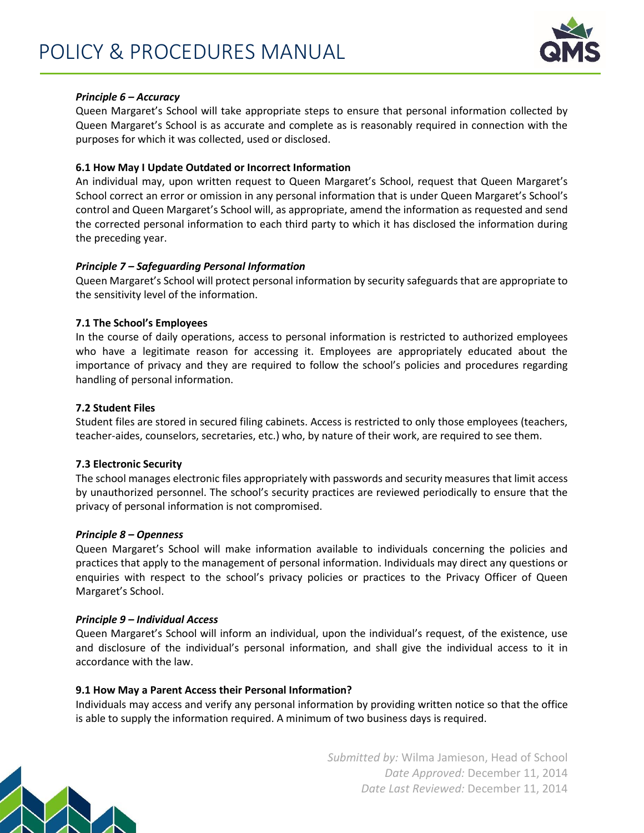

## *Principle 6 – Accuracy*

Queen Margaret's School will take appropriate steps to ensure that personal information collected by Queen Margaret's School is as accurate and complete as is reasonably required in connection with the purposes for which it was collected, used or disclosed.

#### **6.1 How May I Update Outdated or Incorrect Information**

An individual may, upon written request to Queen Margaret's School, request that Queen Margaret's School correct an error or omission in any personal information that is under Queen Margaret's School's control and Queen Margaret's School will, as appropriate, amend the information as requested and send the corrected personal information to each third party to which it has disclosed the information during the preceding year.

## *Principle 7 – Safeguarding Personal Information*

Queen Margaret's School will protect personal information by security safeguards that are appropriate to the sensitivity level of the information.

## **7.1 The School's Employees**

In the course of daily operations, access to personal information is restricted to authorized employees who have a legitimate reason for accessing it. Employees are appropriately educated about the importance of privacy and they are required to follow the school's policies and procedures regarding handling of personal information.

## **7.2 Student Files**

Student files are stored in secured filing cabinets. Access is restricted to only those employees (teachers, teacher‐aides, counselors, secretaries, etc.) who, by nature of their work, are required to see them.

#### **7.3 Electronic Security**

The school manages electronic files appropriately with passwords and security measures that limit access by unauthorized personnel. The school's security practices are reviewed periodically to ensure that the privacy of personal information is not compromised.

#### *Principle 8 – Openness*

Queen Margaret's School will make information available to individuals concerning the policies and practices that apply to the management of personal information. Individuals may direct any questions or enquiries with respect to the school's privacy policies or practices to the Privacy Officer of Queen Margaret's School.

#### *Principle 9 – Individual Access*

Queen Margaret's School will inform an individual, upon the individual's request, of the existence, use and disclosure of the individual's personal information, and shall give the individual access to it in accordance with the law.

#### **9.1 How May a Parent Access their Personal Information?**

Individuals may access and verify any personal information by providing written notice so that the office is able to supply the information required. A minimum of two business days is required.